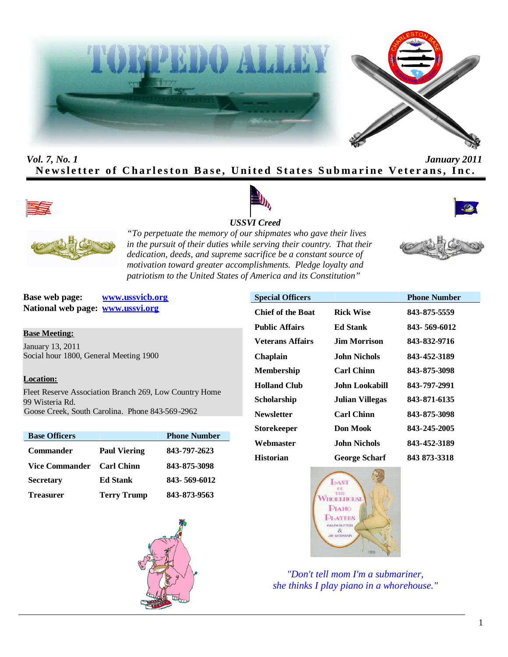



# *Vol. 7, No. 1 January 2011* Newsletter of Charleston Base, United States Submarine Veterans, Inc.









*"To perpetuate the memory of our shipmates who gave their lives in the pursuit of their duties while serving their country. That their dedication, deeds, and supreme sacrifice be a constant source of motivation toward greater accomplishments. Pledge loyalty and patriotism to the United States of America and its Constitution"*

**Base web page: www.ussvicb.org National web page: www.ussvi.org**

#### **Base Meeting:**

January 13, 2011 Social hour 1800, General Meeting 1900

#### **Location:**

Fleet Reserve Association Branch 269, Low Country Home 99 Wisteria Rd. Goose Creek, South Carolina. Phone 843-569-2962

| <b>Base Officers</b>  |                     | <b>Phone Number</b> |
|-----------------------|---------------------|---------------------|
| <b>Commander</b>      | <b>Paul Viering</b> | 843-797-2623        |
| <b>Vice Commander</b> | <b>Carl Chinn</b>   | 843-875-3098        |
| <b>Secretary</b>      | <b>Ed Stank</b>     | 843-569-6012        |
| <b>Treasurer</b>      | <b>Terry Trump</b>  | 843-873-9563        |



| <b>Special Officers</b>  |                        | <b>Phone Number</b> |
|--------------------------|------------------------|---------------------|
| <b>Chief of the Boat</b> | <b>Rick Wise</b>       | 843-875-5559        |
| <b>Public Affairs</b>    | <b>Ed Stank</b>        | 843-569-6012        |
| Veterans Affairs         | <b>Jim Morrison</b>    | 843-832-9716        |
| <b>Chaplain</b>          | John Nichols.          | 843-452-3189        |
| <b>Membership</b>        | <b>Carl Chinn</b>      | 843-875-3098        |
| <b>Holland Club</b>      | John Lookabill         | 843-797-2991        |
| Scholarship              | <b>Julian Villegas</b> | 843-871-6135        |
| <b>Newsletter</b>        | <b>Carl Chinn</b>      | 843-875-3098        |
| <b>Storekeeper</b>       | Don Mook               | 843-245-2005        |
| Webmaster                | John Nichols           | 843-452-3189        |
| <b>Historian</b>         | <b>George Scharf</b>   | 843 873-3318        |



*"Don't tell mom I'm a submariner, she thinks I play piano in a whorehouse."*

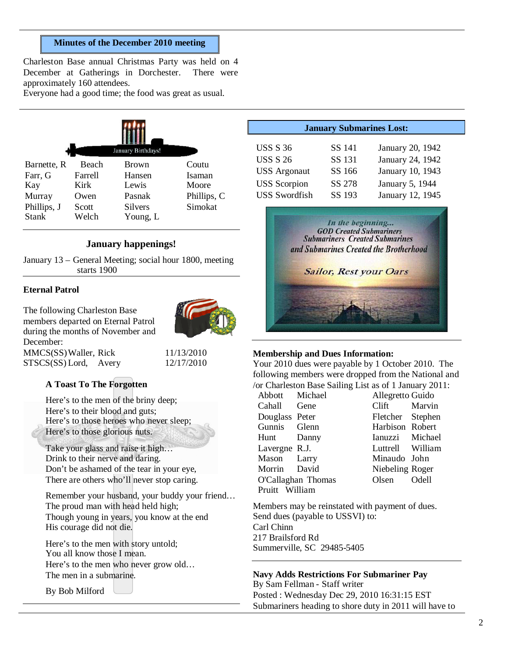#### **Minutes of the December 2010 meeting**

Charleston Base annual Christmas Party was held on 4 December at Gatherings in Dorchester. There were approximately 160 attendees.

Everyone had a good time; the food was great as usual.

|             |              | January Birthdays! |             |
|-------------|--------------|--------------------|-------------|
| Barnette, R | <b>Beach</b> | <b>Brown</b>       | Coutu       |
| Farr, G     | Farrell      | Hansen             | Isaman      |
| Kay         | Kirk         | Lewis              | Moore       |
| Murray      | Owen         | Pasnak             | Phillips, C |
| Phillips, J | Scott        | <b>Silvers</b>     | Simokat     |
| Stank       | Welch        | Young, L           |             |

#### **January happenings!**

January 13 – General Meeting; social hour 1800, meeting starts 1900

#### **Eternal Patrol**

The following Charleston Base members departed on Eternal Patrol during the months of November and December: MMCS(SS)Waller, Rick 11/13/2010



STSCS(SS) Lord, Avery 12/17/2010

#### **A Toast To The Forgotten**

Here's to the men of the briny deep; Here's to their blood and guts; Here's to those heroes who never sleep; Here's to those glorious nuts.

Take your glass and raise it high… Drink to their nerve and daring. Don't be ashamed of the tear in your eye, There are others who'll never stop caring.

Remember your husband, your buddy your friend… The proud man with head held high; Though young in years, you know at the end His courage did not die.

Here's to the men with story untold; You all know those I mean. Here's to the men who never grow old… The men in a submarine.

By Bob Milford

| <b>January Submarines Lost:</b>                                                                          |                                                |                                                                                                 |  |
|----------------------------------------------------------------------------------------------------------|------------------------------------------------|-------------------------------------------------------------------------------------------------|--|
| <b>USS S 36</b><br><b>USS S 26</b><br><b>USS</b> Argonaut<br><b>USS</b> Scorpion<br><b>USS</b> Swordfish | SS 141<br>SS 131<br>SS 166<br>SS 278<br>SS 193 | January 20, 1942<br>January 24, 1942<br>January 10, 1943<br>January 5, 1944<br>January 12, 1945 |  |
|                                                                                                          |                                                |                                                                                                 |  |



#### **Membership and Dues Information:**

Your 2010 dues were payable by 1 October 2010. The following members were dropped from the National and /or Charleston Base Sailing List as of 1 January 2011:

| Abbott             | Michael |  |
|--------------------|---------|--|
| Cahall             | Gene    |  |
| Douglass Peter     |         |  |
| Gunnis             | Glenn   |  |
| Hunt               | Danny   |  |
| Lavergne           | R.J.    |  |
| Mason Larry        |         |  |
| Morrin             | David   |  |
| O'Callaghan Thomas |         |  |
| Pruitt William     |         |  |
|                    |         |  |

Allegretto Guido Clift Marvin Fletcher Stephen Harbison Robert Ianuzzi Michael Luttrell William Minaudo John Niebeling Roger Olsen Odell

Members may be reinstated with payment of dues. Send dues (payable to USSVI) to: Carl Chinn 217 Brailsford Rd Summerville, SC 29485-5405

**Navy Adds Restrictions For Submariner Pay** By Sam Fellman - Staff writer Posted : Wednesday Dec 29, 2010 16:31:15 EST Submariners heading to shore duty in 2011 will have to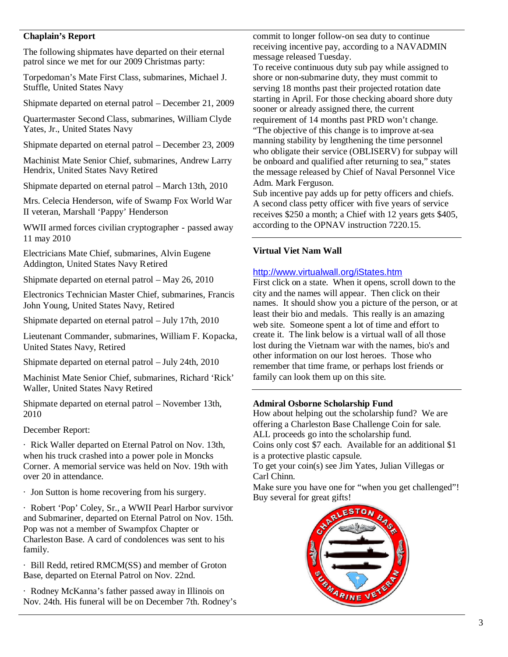## **Chaplain's Report**

The following shipmates have departed on their eternal patrol since we met for our 2009 Christmas party:

Torpedoman's Mate First Class, submarines, Michael J. Stuffle, United States Navy

Shipmate departed on eternal patrol – December 21, 2009

Quartermaster Second Class, submarines, William Clyde Yates, Jr., United States Navy

Shipmate departed on eternal patrol – December 23, 2009

Machinist Mate Senior Chief, submarines, Andrew Larry Hendrix, United States Navy Retired

Shipmate departed on eternal patrol – March 13th, 2010

Mrs. Celecia Henderson, wife of Swamp Fox World War II veteran, Marshall 'Pappy' Henderson

WWII armed forces civilian cryptographer - passed away 11 may 2010

Electricians Mate Chief, submarines, Alvin Eugene Addington, United States Navy Retired

Shipmate departed on eternal patrol – May 26, 2010

Electronics Technician Master Chief, submarines, Francis John Young, United States Navy, Retired

Shipmate departed on eternal patrol – July 17th, 2010

Lieutenant Commander, submarines, William F. Kopacka, United States Navy, Retired

Shipmate departed on eternal patrol – July 24th, 2010

Machinist Mate Senior Chief, submarines, Richard 'Rick' Waller, United States Navy Retired

Shipmate departed on eternal patrol – November 13th, 2010

#### December Report:

· Rick Waller departed on Eternal Patrol on Nov. 13th, when his truck crashed into a power pole in Moncks Corner. A memorial service was held on Nov. 19th with over 20 in attendance.

· Jon Sutton is home recovering from his surgery.

· Robert 'Pop' Coley, Sr., a WWII Pearl Harbor survivor and Submariner, departed on Eternal Patrol on Nov. 15th. Pop was not a member of Swampfox Chapter or Charleston Base. A card of condolences was sent to his family.

· Bill Redd, retired RMCM(SS) and member of Groton Base, departed on Eternal Patrol on Nov. 22nd.

· Rodney McKanna's father passed away in Illinois on Nov. 24th. His funeral will be on December 7th. Rodney's commit to longer follow-on sea duty to continue receiving incentive pay, according to a NAVADMIN message released Tuesday.

To receive continuous duty sub pay while assigned to shore or non-submarine duty, they must commit to serving 18 months past their projected rotation date starting in April. For those checking aboard shore duty sooner or already assigned there, the current requirement of 14 months past PRD won't change. "The objective of this change is to improve at-sea manning stability by lengthening the time personnel who obligate their service (OBLISERV) for subpay will be onboard and qualified after returning to sea," states the message released by Chief of Naval Personnel Vice

Adm. Mark Ferguson.

Sub incentive pay adds up for petty officers and chiefs. A second class petty officer with five years of service receives \$250 a month; a Chief with 12 years gets \$405, according to the OPNAV instruction 7220.15.

#### **Virtual Viet Nam Wall**

#### http://www.virtualwall.org/iStates.htm

First click on a state. When it opens, scroll down to the city and the names will appear. Then click on their names. It should show you a picture of the person, or at least their bio and medals. This really is an amazing web site. Someone spent a lot of time and effort to create it. The link below is a virtual wall of all those lost during the Vietnam war with the names, bio's and other information on our lost heroes. Those who remember that time frame, or perhaps lost friends or family can look them up on this site.

#### **Admiral Osborne Scholarship Fund**

How about helping out the scholarship fund? We are offering a Charleston Base Challenge Coin for sale. ALL proceeds go into the scholarship fund. Coins only cost \$7 each. Available for an additional \$1 is a protective plastic capsule.

To get your coin(s) see Jim Yates, Julian Villegas or Carl Chinn.

Make sure you have one for "when you get challenged"! Buy several for great gifts!

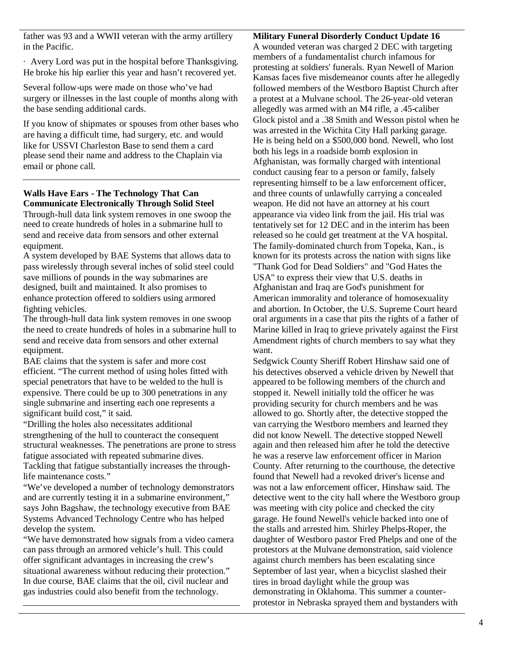father was 93 and a WWII veteran with the army artillery in the Pacific.

· Avery Lord was put in the hospital before Thanksgiving. He broke his hip earlier this year and hasn't recovered yet.

Several follow-ups were made on those who've had surgery or illnesses in the last couple of months along with the base sending additional cards.

If you know of shipmates or spouses from other bases who are having a difficult time, had surgery, etc. and would like for USSVI Charleston Base to send them a card please send their name and address to the Chaplain via email or phone call.

# **Walls Have Ears - The Technology That Can Communicate Electronically Through Solid Steel**

Through-hull data link system removes in one swoop the need to create hundreds of holes in a submarine hull to send and receive data from sensors and other external equipment.

A system developed by BAE Systems that allows data to pass wirelessly through several inches of solid steel could save millions of pounds in the way submarines are designed, built and maintained. It also promises to enhance protection offered to soldiers using armored fighting vehicles.

The through-hull data link system removes in one swoop the need to create hundreds of holes in a submarine hull to send and receive data from sensors and other external equipment.

BAE claims that the system is safer and more cost efficient. "The current method of using holes fitted with special penetrators that have to be welded to the hull is expensive. There could be up to 300 penetrations in any single submarine and inserting each one represents a significant build cost," it said.

"Drilling the holes also necessitates additional strengthening of the hull to counteract the consequent structural weaknesses. The penetrations are prone to stress fatigue associated with repeated submarine dives. Tackling that fatigue substantially increases the throughlife maintenance costs."

"We've developed a number of technology demonstrators and are currently testing it in a submarine environment," says John Bagshaw, the technology executive from BAE Systems Advanced Technology Centre who has helped develop the system.

"We have demonstrated how signals from a video camera can pass through an armored vehicle's hull. This could offer significant advantages in increasing the crew's situational awareness without reducing their protection." In due course, BAE claims that the oil, civil nuclear and gas industries could also benefit from the technology.

**Military Funeral Disorderly Conduct Update 16**

A wounded veteran was charged 2 DEC with targeting members of a fundamentalist church infamous for protesting at soldiers' funerals. Ryan Newell of Marion Kansas faces five misdemeanor counts after he allegedly followed members of the Westboro Baptist Church after a protest at a Mulvane school. The 26-year-old veteran allegedly was armed with an M4 rifle, a .45-caliber Glock pistol and a .38 Smith and Wesson pistol when he was arrested in the Wichita City Hall parking garage. He is being held on a \$500,000 bond. Newell, who lost both his legs in a roadside bomb explosion in Afghanistan, was formally charged with intentional conduct causing fear to a person or family, falsely representing himself to be a law enforcement officer, and three counts of unlawfully carrying a concealed weapon. He did not have an attorney at his court appearance via video link from the jail. His trial was tentatively set for 12 DEC and in the interim has been released so he could get treatment at the VA hospital. The family-dominated church from Topeka, Kan., is known for its protests across the nation with signs like "Thank God for Dead Soldiers" and "God Hates the USA" to express their view that U.S. deaths in Afghanistan and Iraq are God's punishment for American immorality and tolerance of homosexuality and abortion. In October, the U.S. Supreme Court heard oral arguments in a case that pits the rights of a father of Marine killed in Iraq to grieve privately against the First Amendment rights of church members to say what they want.

Sedgwick County Sheriff Robert Hinshaw said one of his detectives observed a vehicle driven by Newell that appeared to be following members of the church and stopped it. Newell initially told the officer he was providing security for church members and he was allowed to go. Shortly after, the detective stopped the van carrying the Westboro members and learned they did not know Newell. The detective stopped Newell again and then released him after he told the detective he was a reserve law enforcement officer in Marion County. After returning to the courthouse, the detective found that Newell had a revoked driver's license and was not a law enforcement officer, Hinshaw said. The detective went to the city hall where the Westboro group was meeting with city police and checked the city garage. He found Newell's vehicle backed into one of the stalls and arrested him. Shirley Phelps-Roper, the daughter of Westboro pastor Fred Phelps and one of the protestors at the Mulvane demonstration, said violence against church members has been escalating since September of last year, when a bicyclist slashed their tires in broad daylight while the group was demonstrating in Oklahoma. This summer a counterprotestor in Nebraska sprayed them and bystanders with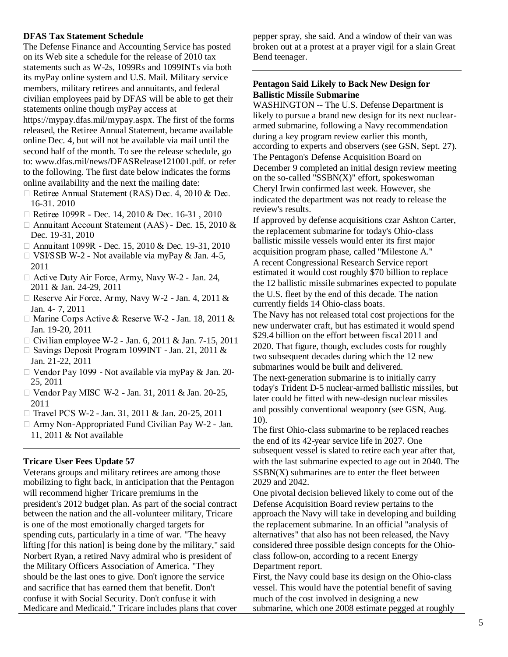#### **DFAS Tax Statement Schedule**

The Defense Finance and Accounting Service has posted on its Web site a schedule for the release of 2010 tax statements such as W-2s, 1099Rs and 1099INTs via both its myPay online system and U.S. Mail. Military service members, military retirees and annuitants, and federal civilian employees paid by DFAS will be able to get their statements online though myPay access at

https://mypay.dfas.mil/mypay.aspx. The first of the forms released, the Retiree Annual Statement, became available online Dec. 4, but will not be available via mail until the second half of the month. To see the release schedule, go to: www.dfas.mil/news/DFASRelease121001.pdf. or refer to the following. The first date below indicates the forms online availability and the next the mailing date:

- $\Box$  Retiree Annual Statement (RAS) Dec. 4, 2010 & Dec. 16-31. 2010
- □ Retiree 1099R Dec. 14, 2010 & Dec. 16-31, 2010
- □ Annuitant Account Statement (AAS) Dec. 15, 2010 & Dec. 19-31, 2010
- □ Annuitant 1099R Dec. 15, 2010 & Dec. 19-31, 2010
- $\Box$  VSI/SSB W-2 Not available via myPay & Jan. 4-5, 2011
- $\Box$  Active Duty Air Force, Army, Navy W-2 Jan. 24, 2011 & Jan. 24-29, 2011
- $\Box$  Reserve Air Force, Army, Navy W-2 Jan. 4, 2011 & Jan. 4- 7, 2011
- □ Marine Corps Active & Reserve W-2 Jan. 18, 2011 & Jan. 19-20, 2011
- □ Civilian employee W-2 Jan. 6, 2011 & Jan. 7-15, 2011
- $\Box$  Savings Deposit Program 1099 INT Jan. 21, 2011 & Jan. 21-22, 2011
- Vendor Pay 1099 Not available via myPay & Jan. 20- 25, 2011
- □ Vendor Pay MISC W-2 Jan. 31, 2011 & Jan. 20-25, 2011
- □ Travel PCS W-2 Jan. 31, 2011 & Jan. 20-25, 2011
- $\Box$  Army Non-Appropriated Fund Civilian Pay W-2 Jan. 11, 2011 & Not available

#### **Tricare User Fees Update 57**

Veterans groups and military retirees are among those mobilizing to fight back, in anticipation that the Pentagon will recommend higher Tricare premiums in the president's 2012 budget plan. As part of the social contract between the nation and the all-volunteer military, Tricare is one of the most emotionally charged targets for spending cuts, particularly in a time of war. "The heavy lifting [for this nation] is being done by the military," said Norbert Ryan, a retired Navy admiral who is president of the Military Officers Association of America. "They should be the last ones to give. Don't ignore the service and sacrifice that has earned them that benefit. Don't confuse it with Social Security. Don't confuse it with Medicare and Medicaid." Tricare includes plans that cover

pepper spray, she said. And a window of their van was broken out at a protest at a prayer vigil for a slain Great Bend teenager.

#### **Pentagon Said Likely to Back New Design for Ballistic Missile Submarine**

WASHINGTON -- The U.S. Defense Department is likely to pursue a brand new design for its next nucleararmed submarine, following a Navy recommendation during a key program review earlier this month, according to experts and observers (see GSN, Sept. 27). The Pentagon's Defense Acquisition Board on December 9 completed an initial design review meeting on the so-called "SSBN(X)" effort, spokeswoman Cheryl Irwin confirmed last week. However, she indicated the department was not ready to release the review's results.

If approved by defense acquisitions czar Ashton Carter, the replacement submarine for today's Ohio-class ballistic missile vessels would enter its first major acquisition program phase, called "Milestone A." A recent Congressional Research Service report estimated it would cost roughly \$70 billion to replace the 12 ballistic missile submarines expected to populate the U.S. fleet by the end of this decade. The nation currently fields 14 Ohio-class boats.

The Navy has not released total cost projections for the new underwater craft, but has estimated it would spend \$29.4 billion on the effort between fiscal 2011 and 2020. That figure, though, excludes costs for roughly two subsequent decades during which the 12 new submarines would be built and delivered. The next-generation submarine is to initially carry today's Trident D-5 nuclear-armed ballistic missiles, but later could be fitted with new-design nuclear missiles and possibly conventional weaponry (see GSN, Aug. 10).

The first Ohio-class submarine to be replaced reaches the end of its 42-year service life in 2027. One subsequent vessel is slated to retire each year after that, with the last submarine expected to age out in 2040. The SSBN(X) submarines are to enter the fleet between 2029 and 2042.

One pivotal decision believed likely to come out of the Defense Acquisition Board review pertains to the approach the Navy will take in developing and building the replacement submarine. In an official "analysis of alternatives" that also has not been released, the Navy considered three possible design concepts for the Ohioclass follow-on, according to a recent Energy Department report.

First, the Navy could base its design on the Ohio-class vessel. This would have the potential benefit of saving much of the cost involved in designing a new submarine, which one 2008 estimate pegged at roughly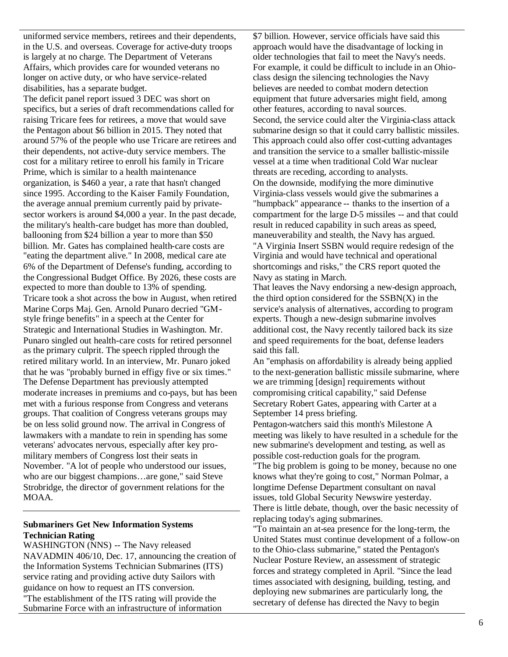uniformed service members, retirees and their dependents, in the U.S. and overseas. Coverage for active-duty troops is largely at no charge. The Department of Veterans Affairs, which provides care for wounded veterans no longer on active duty, or who have service-related disabilities, has a separate budget.

The deficit panel report issued 3 DEC was short on specifics, but a series of draft recommendations called for raising Tricare fees for retirees, a move that would save the Pentagon about \$6 billion in 2015. They noted that around 57% of the people who use Tricare are retirees and their dependents, not active-duty service members. The cost for a military retiree to enroll his family in Tricare Prime, which is similar to a health maintenance organization, is \$460 a year, a rate that hasn't changed since 1995. According to the Kaiser Family Foundation, the average annual premium currently paid by privatesector workers is around \$4,000 a year. In the past decade, the military's health-care budget has more than doubled, ballooning from \$24 billion a year to more than \$50 billion. Mr. Gates has complained health-care costs are "eating the department alive." In 2008, medical care ate 6% of the Department of Defense's funding, according to the Congressional Budget Office. By 2026, these costs are expected to more than double to 13% of spending. Tricare took a shot across the bow in August, when retired Marine Corps Maj. Gen. Arnold Punaro decried "GMstyle fringe benefits" in a speech at the Center for Strategic and International Studies in Washington. Mr. Punaro singled out health-care costs for retired personnel as the primary culprit. The speech rippled through the retired military world. In an interview, Mr. Punaro joked that he was "probably burned in effigy five or six times." The Defense Department has previously attempted moderate increases in premiums and co-pays, but has been met with a furious response from Congress and veterans groups. That coalition of Congress veterans groups may be on less solid ground now. The arrival in Congress of lawmakers with a mandate to rein in spending has some veterans' advocates nervous, especially after key promilitary members of Congress lost their seats in November. "A lot of people who understood our issues, who are our biggest champions…are gone," said Steve Strobridge, the director of government relations for the MOAA.

### **Submariners Get New Information Systems Technician Rating**

WASHINGTON (NNS) -- The Navy released NAVADMIN 406/10, Dec. 17, announcing the creation of the Information Systems Technician Submarines (ITS) service rating and providing active duty Sailors with guidance on how to request an ITS conversion. "The establishment of the ITS rating will provide the Submarine Force with an infrastructure of information

\$7 billion. However, service officials have said this approach would have the disadvantage of locking in older technologies that fail to meet the Navy's needs. For example, it could be difficult to include in an Ohioclass design the silencing technologies the Navy believes are needed to combat modern detection equipment that future adversaries might field, among other features, according to naval sources. Second, the service could alter the Virginia-class attack submarine design so that it could carry ballistic missiles. This approach could also offer cost-cutting advantages and transition the service to a smaller ballistic-missile vessel at a time when traditional Cold War nuclear threats are receding, according to analysts. On the downside, modifying the more diminutive Virginia-class vessels would give the submarines a "humpback" appearance -- thanks to the insertion of a compartment for the large D-5 missiles -- and that could result in reduced capability in such areas as speed, maneuverability and stealth, the Navy has argued. "A Virginia Insert SSBN would require redesign of the Virginia and would have technical and operational shortcomings and risks," the CRS report quoted the Navy as stating in March.

That leaves the Navy endorsing a new-design approach, the third option considered for the SSBN(X) in the service's analysis of alternatives, according to program experts. Though a new-design submarine involves additional cost, the Navy recently tailored back its size and speed requirements for the boat, defense leaders said this fall.

An "emphasis on affordability is already being applied to the next-generation ballistic missile submarine, where we are trimming [design] requirements without compromising critical capability," said Defense Secretary Robert Gates, appearing with Carter at a September 14 press briefing.

Pentagon-watchers said this month's Milestone A meeting was likely to have resulted in a schedule for the new submarine's development and testing, as well as possible cost-reduction goals for the program.

The big problem is going to be money, because no one knows what they're going to cost," Norman Polmar, a longtime Defense Department consultant on naval issues, told Global Security Newswire yesterday. There is little debate, though, over the basic necessity of replacing today's aging submarines.

"To maintain an at-sea presence for the long-term, the United States must continue development of a follow-on to the Ohio-class submarine," stated the Pentagon's Nuclear Posture Review, an assessment of strategic forces and strategy completed in April. "Since the lead times associated with designing, building, testing, and deploying new submarines are particularly long, the secretary of defense has directed the Navy to begin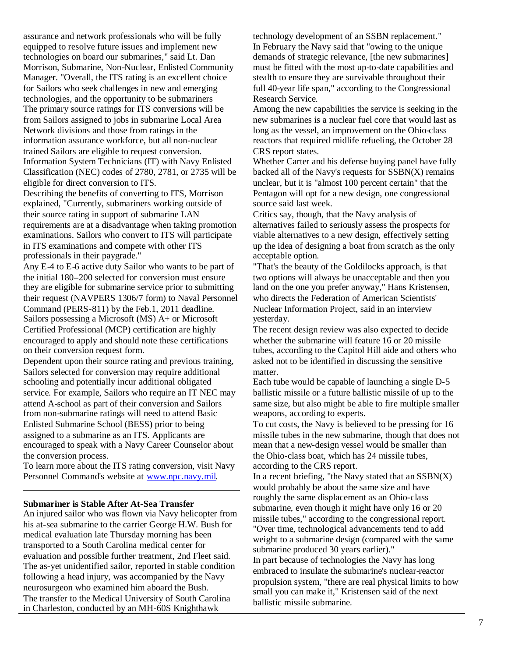assurance and network professionals who will be fully equipped to resolve future issues and implement new technologies on board our submarines," said Lt. Dan Morrison, Submarine, Non-Nuclear, Enlisted Community Manager. "Overall, the ITS rating is an excellent choice for Sailors who seek challenges in new and emerging technologies, and the opportunity to be submariners The primary source ratings for ITS conversions will be from Sailors assigned to jobs in submarine Local Area Network divisions and those from ratings in the information assurance workforce, but all non-nuclear trained Sailors are eligible to request conversion. Information System Technicians (IT) with Navy Enlisted Classification (NEC) codes of 2780, 2781, or 2735 will be eligible for direct conversion to ITS.

Describing the benefits of converting to ITS, Morrison explained, "Currently, submariners working outside of their source rating in support of submarine LAN requirements are at a disadvantage when taking promotion examinations. Sailors who convert to ITS will participate in ITS examinations and compete with other ITS professionals in their paygrade."

Any E-4 to E-6 active duty Sailor who wants to be part of the initial 180–200 selected for conversion must ensure they are eligible for submarine service prior to submitting their request (NAVPERS 1306/7 form) to Naval Personnel Command (PERS-811) by the Feb.1, 2011 deadline. Sailors possessing a Microsoft (MS) A+ or Microsoft Certified Professional (MCP) certification are highly encouraged to apply and should note these certifications on their conversion request form.

Dependent upon their source rating and previous training, Sailors selected for conversion may require additional schooling and potentially incur additional obligated service. For example, Sailors who require an IT NEC may attend A-school as part of their conversion and Sailors from non-submarine ratings will need to attend Basic Enlisted Submarine School (BESS) prior to being assigned to a submarine as an ITS. Applicants are encouraged to speak with a Navy Career Counselor about the conversion process.

To learn more about the ITS rating conversion, visit Navy Personnel Command's website at www.npc.navy.mil.

#### **Submariner is Stable After At-Sea Transfer**

An injured sailor who was flown via Navy helicopter from his at-sea submarine to the carrier George H.W. Bush for medical evaluation late Thursday morning has been transported to a South Carolina medical center for evaluation and possible further treatment, 2nd Fleet said. The as-yet unidentified sailor, reported in stable condition following a head injury, was accompanied by the Navy neurosurgeon who examined him aboard the Bush. The transfer to the Medical University of South Carolina in Charleston, conducted by an MH-60S Knighthawk

technology development of an SSBN replacement." In February the Navy said that "owing to the unique demands of strategic relevance, [the new submarines] must be fitted with the most up-to-date capabilities and stealth to ensure they are survivable throughout their full 40-year life span," according to the Congressional Research Service.

Among the new capabilities the service is seeking in the new submarines is a nuclear fuel core that would last as long as the vessel, an improvement on the Ohio-class reactors that required midlife refueling, the October 28 CRS report states.

Whether Carter and his defense buying panel have fully backed all of the Navy's requests for  $SSBN(X)$  remains unclear, but it is "almost 100 percent certain" that the Pentagon will opt for a new design, one congressional source said last week.

Critics say, though, that the Navy analysis of alternatives failed to seriously assess the prospects for viable alternatives to a new design, effectively setting up the idea of designing a boat from scratch as the only acceptable option.

"That's the beauty of the Goldilocks approach, is that two options will always be unacceptable and then you land on the one you prefer anyway," Hans Kristensen, who directs the Federation of American Scientists' Nuclear Information Project, said in an interview yesterday.

The recent design review was also expected to decide whether the submarine will feature 16 or 20 missile tubes, according to the Capitol Hill aide and others who asked not to be identified in discussing the sensitive matter.

Each tube would be capable of launching a single D-5 ballistic missile or a future ballistic missile of up to the same size, but also might be able to fire multiple smaller weapons, according to experts.

To cut costs, the Navy is believed to be pressing for 16 missile tubes in the new submarine, though that does not mean that a new-design vessel would be smaller than the Ohio-class boat, which has 24 missile tubes, according to the CRS report.

In a recent briefing, "the Navy stated that an  $SSBN(X)$ would probably be about the same size and have roughly the same displacement as an Ohio-class submarine, even though it might have only 16 or 20 missile tubes," according to the congressional report. "Over time, technological advancements tend to add weight to a submarine design (compared with the same submarine produced 30 years earlier)." In part because of technologies the Navy has long embraced to insulate the submarine's nuclear-reactor propulsion system, "there are real physical limits to how small you can make it," Kristensen said of the next ballistic missile submarine.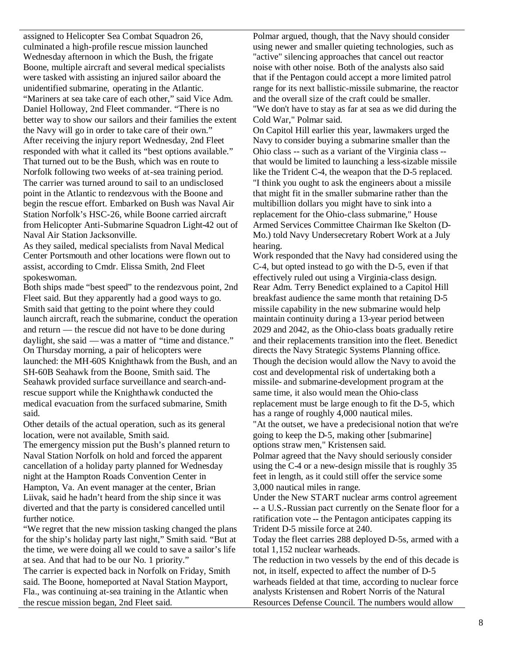assigned to Helicopter Sea Combat Squadron 26, culminated a high-profile rescue mission launched Wednesday afternoon in which the Bush, the frigate Boone, multiple aircraft and several medical specialists were tasked with assisting an injured sailor aboard the unidentified submarine, operating in the Atlantic. "Mariners at sea take care of each other," said Vice Adm. Daniel Holloway, 2nd Fleet commander. "There is no better way to show our sailors and their families the extent the Navy will go in order to take care of their own." After receiving the injury report Wednesday, 2nd Fleet responded with what it called its "best options available." That turned out to be the Bush, which was en route to Norfolk following two weeks of at-sea training period. The carrier was turned around to sail to an undisclosed point in the Atlantic to rendezvous with the Boone and begin the rescue effort. Embarked on Bush was Naval Air Station Norfolk's HSC-26, while Boone carried aircraft from Helicopter Anti-Submarine Squadron Light-42 out of Naval Air Station Jacksonville.

As they sailed, medical specialists from Naval Medical Center Portsmouth and other locations were flown out to assist, according to Cmdr. Elissa Smith, 2nd Fleet spokeswoman.

Both ships made "best speed" to the rendezvous point, 2nd Fleet said. But they apparently had a good ways to go. Smith said that getting to the point where they could launch aircraft, reach the submarine, conduct the operation and return — the rescue did not have to be done during daylight, she said — was a matter of "time and distance." On Thursday morning, a pair of helicopters were launched: the MH-60S Knighthawk from the Bush, and an SH-60B Seahawk from the Boone, Smith said. The Seahawk provided surface surveillance and search-andrescue support while the Knighthawk conducted the medical evacuation from the surfaced submarine, Smith said.

Other details of the actual operation, such as its general location, were not available, Smith said.

The emergency mission put the Bush's planned return to Naval Station Norfolk on hold and forced the apparent cancellation of a holiday party planned for Wednesday night at the Hampton Roads Convention Center in Hampton, Va. An event manager at the center, Brian Liivak, said he hadn't heard from the ship since it was diverted and that the party is considered cancelled until further notice.

"We regret that the new mission tasking changed the plans for the ship's holiday party last night," Smith said. "But at the time, we were doing all we could to save a sailor's life at sea. And that had to be our No. 1 priority."

The carrier is expected back in Norfolk on Friday, Smith said. The Boone, homeported at Naval Station Mayport, Fla., was continuing at-sea training in the Atlantic when the rescue mission began, 2nd Fleet said.

Polmar argued, though, that the Navy should consider using newer and smaller quieting technologies, such as "active" silencing approaches that cancel out reactor noise with other noise. Both of the analysts also said that if the Pentagon could accept a more limited patrol range for its next ballistic-missile submarine, the reactor and the overall size of the craft could be smaller. "We don't have to stay as far at sea as we did during the Cold War," Polmar said.

On Capitol Hill earlier this year, lawmakers urged the Navy to consider buying a submarine smaller than the Ohio class -- such as a variant of the Virginia class - that would be limited to launching a less-sizable missile like the Trident C-4, the weapon that the D-5 replaced. "I think you ought to ask the engineers about a missile that might fit in the smaller submarine rather than the multibillion dollars you might have to sink into a replacement for the Ohio-class submarine," House Armed Services Committee Chairman Ike Skelton (D-Mo.) told Navy Undersecretary Robert Work at a July hearing.

Work responded that the Navy had considered using the C-4, but opted instead to go with the D-5, even if that effectively ruled out using a Virginia-class design. Rear Adm. Terry Benedict explained to a Capitol Hill breakfast audience the same month that retaining D-5 missile capability in the new submarine would help maintain continuity during a 13-year period between 2029 and 2042, as the Ohio-class boats gradually retire and their replacements transition into the fleet. Benedict directs the Navy Strategic Systems Planning office. Though the decision would allow the Navy to avoid the cost and developmental risk of undertaking both a missile- and submarine-development program at the same time, it also would mean the Ohio-class replacement must be large enough to fit the D-5, which has a range of roughly 4,000 nautical miles.

"At the outset, we have a predecisional notion that we're going to keep the D-5, making other [submarine] options straw men," Kristensen said.

Polmar agreed that the Navy should seriously consider using the C-4 or a new-design missile that is roughly 35 feet in length, as it could still offer the service some 3,000 nautical miles in range.

Under the New START nuclear arms control agreement -- a U.S.-Russian pact currently on the Senate floor for a ratification vote -- the Pentagon anticipates capping its Trident D-5 missile force at 240.

Today the fleet carries 288 deployed D-5s, armed with a total 1,152 nuclear warheads.

The reduction in two vessels by the end of this decade is not, in itself, expected to affect the number of D-5 warheads fielded at that time, according to nuclear force analysts Kristensen and Robert Norris of the Natural Resources Defense Council. The numbers would allow